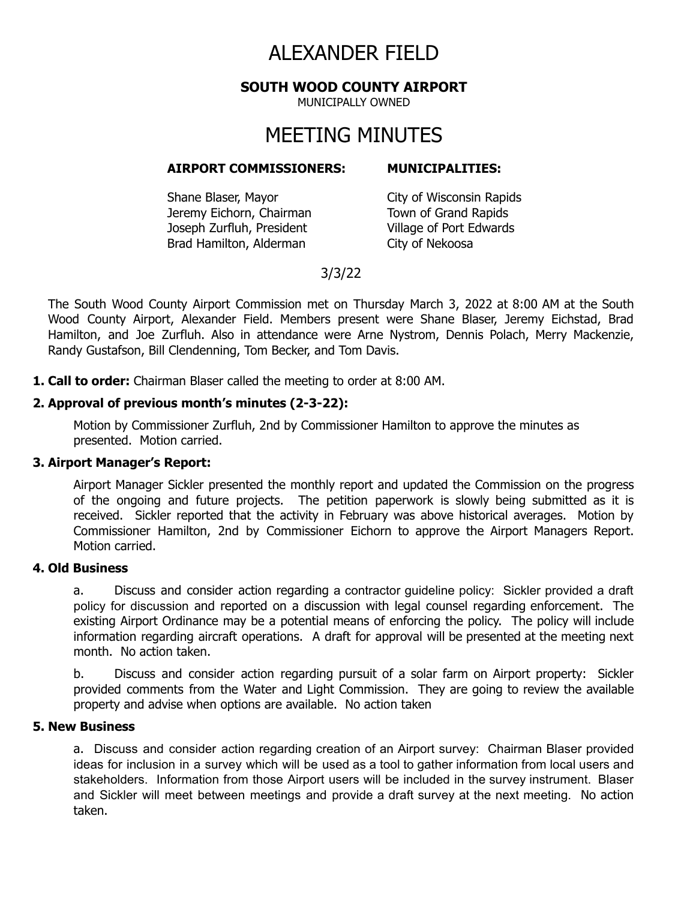# ALEXANDER FIELD

### **SOUTH WOOD COUNTY AIRPORT**

MUNICIPALLY OWNED

# MEETING MINUTES

#### **AIRPORT COMMISSIONERS: MUNICIPALITIES:**

Shane Blaser, Mayor City of Wisconsin Rapids Jeremy Eichorn, Chairman Town of Grand Rapids Joseph Zurfluh, President Village of Port Edwards Brad Hamilton, Alderman City of Nekoosa

# 3/3/22

The South Wood County Airport Commission met on Thursday March 3, 2022 at 8:00 AM at the South Wood County Airport, Alexander Field. Members present were Shane Blaser, Jeremy Eichstad, Brad Hamilton, and Joe Zurfluh. Also in attendance were Arne Nystrom, Dennis Polach, Merry Mackenzie, Randy Gustafson, Bill Clendenning, Tom Becker, and Tom Davis.

**1. Call to order:** Chairman Blaser called the meeting to order at 8:00 AM.

#### **2. Approval of previous month's minutes (2-3-22):**

Motion by Commissioner Zurfluh, 2nd by Commissioner Hamilton to approve the minutes as presented. Motion carried.

#### **3. Airport Manager's Report:**

Airport Manager Sickler presented the monthly report and updated the Commission on the progress of the ongoing and future projects. The petition paperwork is slowly being submitted as it is received. Sickler reported that the activity in February was above historical averages. Motion by Commissioner Hamilton, 2nd by Commissioner Eichorn to approve the Airport Managers Report. Motion carried.

#### **4. Old Business**

a. Discuss and consider action regarding a contractor guideline policy: Sickler provided a draft policy for discussion and reported on a discussion with legal counsel regarding enforcement. The existing Airport Ordinance may be a potential means of enforcing the policy. The policy will include information regarding aircraft operations. A draft for approval will be presented at the meeting next month. No action taken.

b. Discuss and consider action regarding pursuit of a solar farm on Airport property: Sickler provided comments from the Water and Light Commission. They are going to review the available property and advise when options are available. No action taken

# **5. New Business**

a. Discuss and consider action regarding creation of an Airport survey: Chairman Blaser provided ideas for inclusion in a survey which will be used as a tool to gather information from local users and stakeholders. Information from those Airport users will be included in the survey instrument. Blaser and Sickler will meet between meetings and provide a draft survey at the next meeting. No action taken.